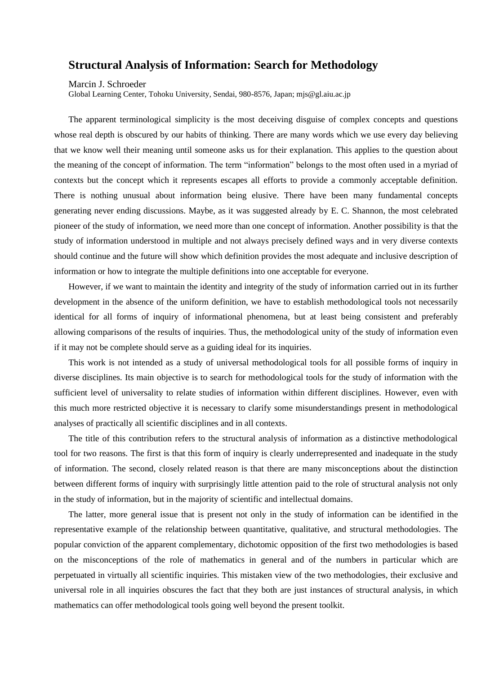## **Structural Analysis of Information: Search for Methodology**

Marcin J. Schroeder

Global Learning Center, Tohoku University, Sendai, 980-8576, Japan; mjs@gl.aiu.ac.jp

The apparent terminological simplicity is the most deceiving disguise of complex concepts and questions whose real depth is obscured by our habits of thinking. There are many words which we use every day believing that we know well their meaning until someone asks us for their explanation. This applies to the question about the meaning of the concept of information. The term "information" belongs to the most often used in a myriad of contexts but the concept which it represents escapes all efforts to provide a commonly acceptable definition. There is nothing unusual about information being elusive. There have been many fundamental concepts generating never ending discussions. Maybe, as it was suggested already by E. C. Shannon, the most celebrated pioneer of the study of information, we need more than one concept of information. Another possibility is that the study of information understood in multiple and not always precisely defined ways and in very diverse contexts should continue and the future will show which definition provides the most adequate and inclusive description of information or how to integrate the multiple definitions into one acceptable for everyone.

However, if we want to maintain the identity and integrity of the study of information carried out in its further development in the absence of the uniform definition, we have to establish methodological tools not necessarily identical for all forms of inquiry of informational phenomena, but at least being consistent and preferably allowing comparisons of the results of inquiries. Thus, the methodological unity of the study of information even if it may not be complete should serve as a guiding ideal for its inquiries.

This work is not intended as a study of universal methodological tools for all possible forms of inquiry in diverse disciplines. Its main objective is to search for methodological tools for the study of information with the sufficient level of universality to relate studies of information within different disciplines. However, even with this much more restricted objective it is necessary to clarify some misunderstandings present in methodological analyses of practically all scientific disciplines and in all contexts.

The title of this contribution refers to the structural analysis of information as a distinctive methodological tool for two reasons. The first is that this form of inquiry is clearly underrepresented and inadequate in the study of information. The second, closely related reason is that there are many misconceptions about the distinction between different forms of inquiry with surprisingly little attention paid to the role of structural analysis not only in the study of information, but in the majority of scientific and intellectual domains.

The latter, more general issue that is present not only in the study of information can be identified in the representative example of the relationship between quantitative, qualitative, and structural methodologies. The popular conviction of the apparent complementary, dichotomic opposition of the first two methodologies is based on the misconceptions of the role of mathematics in general and of the numbers in particular which are perpetuated in virtually all scientific inquiries. This mistaken view of the two methodologies, their exclusive and universal role in all inquiries obscures the fact that they both are just instances of structural analysis, in which mathematics can offer methodological tools going well beyond the present toolkit.